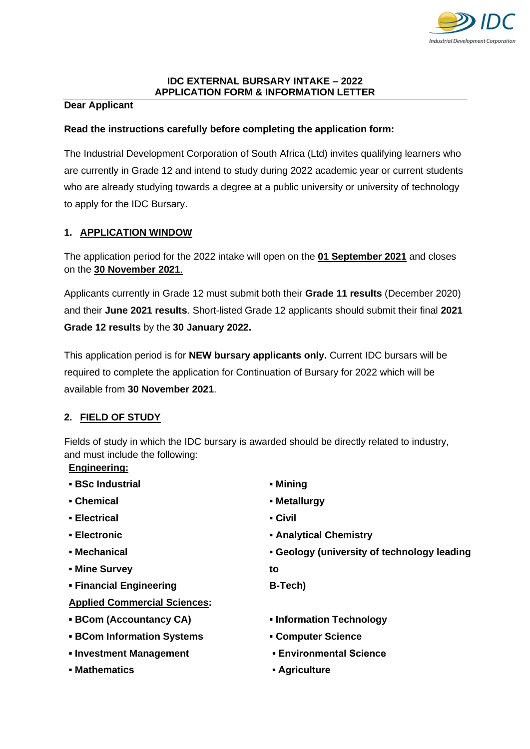

#### **IDC EXTERNAL BURSARY INTAKE – 2022 APPLICATION FORM & INFORMATION LETTER**

## **Dear Applicant**

## **Read the instructions carefully before completing the application form:**

The Industrial Development Corporation of South Africa (Ltd) invites qualifying learners who are currently in Grade 12 and intend to study during 2022 academic year or current students who are already studying towards a degree at a public university or university of technology to apply for the IDC Bursary.

# **1. APPLICATION WINDOW**

The application period for the 2022 intake will open on the **01 September 2021** and closes on the **30 November 2021**.

Applicants currently in Grade 12 must submit both their **Grade 11 results** (December 2020) and their **June 2021 results**. Short-listed Grade 12 applicants should submit their final **2021 Grade 12 results** by the **30 January 2022.**

This application period is for **NEW bursary applicants only.** Current IDC bursars will be required to complete the application for Continuation of Bursary for 2022 which will be available from **30 November 2021**.

## **2. FIELD OF STUDY**

Fields of study in which the IDC bursary is awarded should be directly related to industry, and must include the following:

#### **Engineering:**

- **▪ BSc Industrial**
- **▪ Chemical**
- **▪ Electrical**
- **▪ Electronic**
- **▪ Mechanical**
- **▪ Mine Survey**
- **▪ Financial Engineering**
- **Applied Commercial Sciences:**
- **▪ BCom (Accountancy CA)**
- **▪ BCom Information Systems**
- **▪ Investment Management**
- **▪ Mathematics**
- **▪ Mining**
- **▪ Metallurgy**
- **▪ Civil**
- **▪ Analytical Chemistry**
- **▪ Geology (university of technology leading**
- **to**
- **B-Tech)**
- **▪ Information Technology**
- **▪ Computer Science**
- **Environmental Science**
- **Agriculture**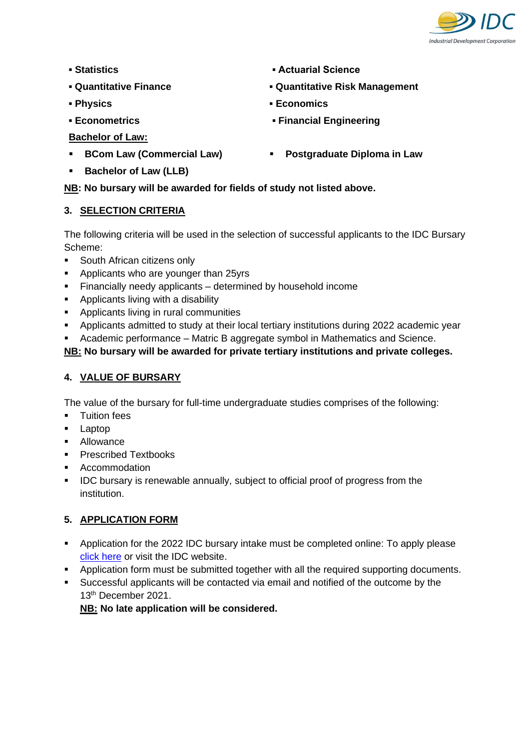

- **▪ Statistics**
- **▪ Quantitative Finance**
- **▪ Physics**
- **▪ Econometrics**
- **Bachelor of Law:**
- **BCom Law (Commercial Law)**
- **Actuarial Science**
- **▪ Quantitative Risk Management**
- **▪ Economics**
- **▪ Financial Engineering**
- **Postgraduate Diploma in Law**

**Bachelor of Law (LLB)** 

**NB: No bursary will be awarded for fields of study not listed above.**

# **3. SELECTION CRITERIA**

The following criteria will be used in the selection of successful applicants to the IDC Bursary Scheme:

- South African citizens only
- Applicants who are younger than 25yrs
- Financially needy applicants determined by household income
- Applicants living with a disability
- Applicants living in rural communities
- Applicants admitted to study at their local tertiary institutions during 2022 academic year
- Academic performance Matric B aggregate symbol in Mathematics and Science.

# **NB: No bursary will be awarded for private tertiary institutions and private colleges.**

# **4. VALUE OF BURSARY**

The value of the bursary for full-time undergraduate studies comprises of the following:

- **■** Tuition fees
- Laptop
- Allowance
- Prescribed Textbooks
- Accommodation
- **EXED IDC** bursary is renewable annually, subject to official proof of progress from the institution.

# **5. APPLICATION FORM**

- Application for the 2022 IDC bursary intake must be completed online: To apply please [click here](https://eur01.safelinks.protection.outlook.com/?url=https%3A%2F%2Fprotected.idc.co.za%2FBursaryPortal&data=04%7C01%7CKgomotsoM%40idc.co.za%7C2d3dbeb103fe4581a3b508d968cc071f%7Cb4e5483de0904a58b1cffbaa0ec4beb5%7C1%7C0%7C637656047951979073%7CUnknown%7CTWFpbGZsb3d8eyJWIjoiMC4wLjAwMDAiLCJQIjoiV2luMzIiLCJBTiI6Ik1haWwiLCJXVCI6Mn0%3D%7C1000&sdata=dUfHSNwfa6AIedRQ9YW4cdJgf7X9kY%2B%2F%2BSxirGlv%2FuI%3D&reserved=0) or visit the IDC website.
- Application form must be submitted together with all the required supporting documents.
- Successful applicants will be contacted via email and notified of the outcome by the 13<sup>th</sup> December 2021.

**NB: No late application will be considered.**